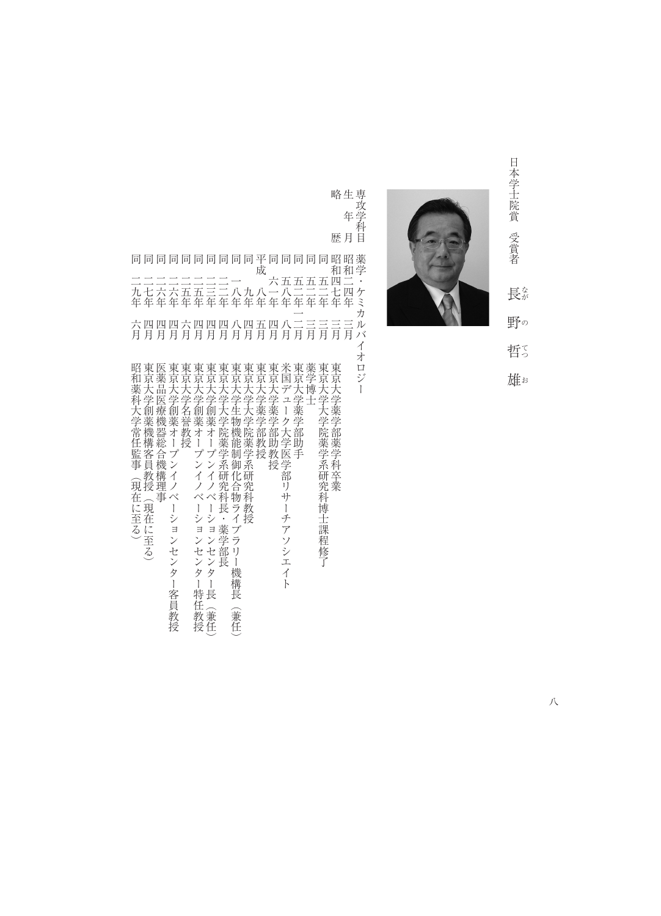

なが

てつ

/ムロ

略生専攻学科 歴月 苜

略歴昭和四七年三月東京大学薬学部薬学科卒業 生年月昭和二四年三月 専攻学科目薬学・ケミカルバイオロジー 同同同同同同同同同可平同同同同同昭昭薬<br>二二二二二二二二一 成<br>二二二二二二二一 六五五五五四二 同二九年六月昭和薬科大学常任監事(現在に至る) 同二七年四月東京大学創薬機構客員教授(現在に至る) 同一六年四月 国際大学 一年四月 国際大学 一年二月 国際大学 一年二月 国際大学 一年二月 国際大学 一年二月 国際大学 同一六年四月 東京大学創業オープンインター名 こうしゅうしゅ こうしゅうしゅ かいしゅうしゅ かいしゅうしゅ かいしゅうしゅ 『日本大学』 『日本大学』 『日本大学』 『日本大学』 『日本大学』 『日本大学』 『日本大学』 『日本大学』 『日本大学』 『日本大学』 『日本大学』 『日本大学』 『日本大学』 『日本大学』 『日本大学』 『日本大学』 『日本大学』 『日本大学』 『日本大学』 『日本大学』 『日本大学』 『日本大学』 『日本大学』 『日本大学』 『日本大学』 『日本大学』 『日本大学』 『日本大学』 『日本大学』 『日本大学』 『日本大学』 『日本 同一五年四月 東京大学 こうしゅうしゅ こうしゅう こうしゅう こうしゅう こうしゅう こうしゅう こうしゅう こうしゅう こうしゅう こうしゅう こうしゅう こうしゅう 同二三年四月東京大学創薬オープンイノベーションセンター長(兼任) 一年一月 東京大学大学院 一年一月 東京大学大学院 一年一月 東京大学大学院 一年一月 東京大学院 一年一月 東京大学院 一年一月 東京大学院 一年一月 東京大学院 一年一月 東京大学院 一年一月 東京大学院 一年一月 東京大学院 同一八年八月東京大学生物機能制御化合物ライブラリー機構長(兼任) 同十一年(1888年) 1988年) 1988年(1888年) 1988年(1888年) 1988年(1888年) 1988年(1888年) 1988年(1888年) 1988年(1888年) 1988年(1888年)<br>○中国語文学院 平成八年五月東京大学薬学部教授 同六一年四月東京大学薬学部助教授 同五八年八月米国デュータ大学医学部リサーチアン こうしょうかん しゅうしゅう しゅうしゅう しゅうしゅう しゅうしゅう しゅうしゅう しゅうしゅう しゅうしゅう しゅうしゅう 同五十年一月 長宗大学 一月 長宗大学 一月 長宗大学 一月 長宗大学 一月 長宗大学 一月 長宗大学 一月 長宗大学 一月 長宗大学 一月 長宗大学 一月 長宗大学 同五二年三月薬学博士 同五十年三月東京大学大学院 第1992年 - 1992年 - 1992年 - 1992年 - 1992年 - 1992年 - 1992年 - 1992年 - 1992年 - 1992年 - 1992年 - 1992年 - 1992年 二二二二二二二一 六五五五五四二<br>九七六六五五三二八九八一八二二二七四<br>年年年年年年年年年年年年年年年年年 ケミ うル  $\overline{\phantom{0}}$ 六四四四六四四四八四五四八二三三三三<br>月月月月月月月月月月月月月月月月月月 バ  $\overline{\Lambda}$ 昭和薬科科科大学創業機構客事(現在に至る)東に至る)東京大学創薬機構客に監事(現在に至る)、現在に至る)、地域の療機構を提案を提案オープンイン、トランスのテスト学創薬業はサイプンス科化会社の発芽のエン 東東東京大大学学学学院薬学院薬学医学部分とテストの発現の発芽の学校授業オープン系研究科教授、インコンシー機構長・東東京京京大大学学学学部助教学系研究科博士課程の東京京京大大学学学学部助教学系研究発生課程の工業の東東東東東東東東東東東東東東東東 才  $\Box$  $\ddot{\ddot{}}$ Ï

ンセンター客員教授

ンセンター特任教授

機構長

(兼任)

八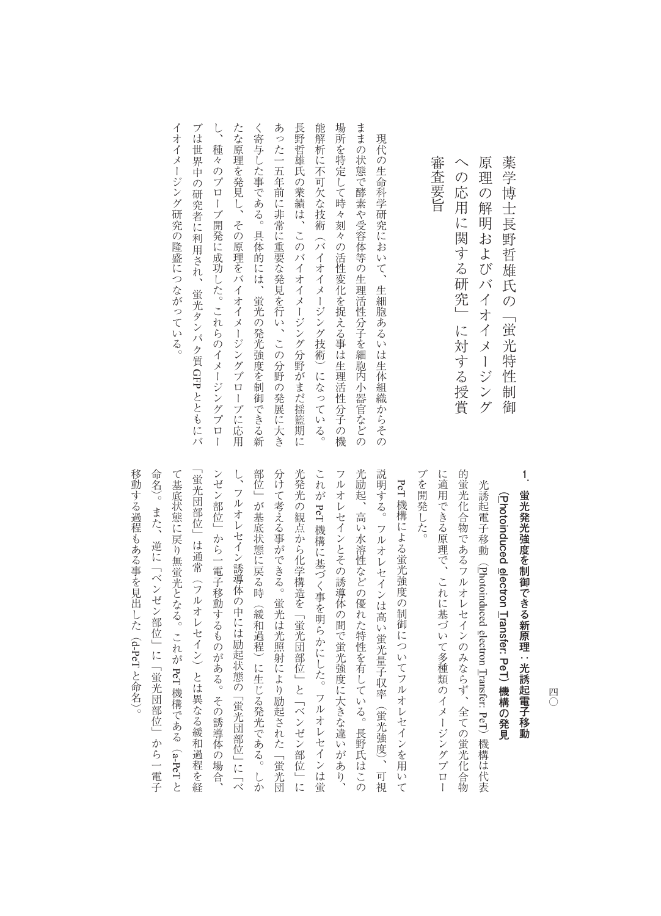| 原<br>理の<br>解<br>明およびバイオイメージング           |
|-----------------------------------------|
| の<br>応<br>用<br>に<br>関する研究」<br>に対する授賞    |
| 審<br>査要旨                                |
|                                         |
| 現代の生命科学研究において、生細胞あるいは生体組織からその           |
| ままの状態で酵素や受容体等の生理活性分子を細胞内小器官などの          |
| 場所を特定して時々刻々の活性変化を捉える事は生理活性分子の機          |
| 能解析に不可欠な技術<br>(バイオイメージング技術)になっている。      |
| 長<br> 野哲雄氏の業績は、このバイオイメージング分野がまだ揺籃期に     |
| あった一五年前に非常に重要な発見を行い、この分野の発展に大き          |
| く寄与した事である。具体的には、蛍光の発光強度を制御できる新          |
| たな原理を発見し、その原理をバイオイメージングプロー<br>ブに応用      |
| Ļ<br>種<br>々のプローブ開発に成功した。これらのイメージングプロー   |
| ブは<br>世界中の研究者に利用され、<br>蛍光タンパク質 GFPとともにバ |
| イオイメージング研究の隆盛につながっている。                  |
|                                         |

部位」が基底状態に戻る時(緩和過程)に生じる発光である。しか フルオレセインとその誘導体の間で蛍光強度に大きな違いがあり、 ブを開発した。 ンゼン部位」から一電子移動するものがある。その誘導体の場合、 し、フルオレセイン誘導体の中には励起状態の「蛍光団部位」に「ベ 分けて考える事ができる。蛍光は光照射により励起された「蛍光団 光発光の観点から化学構造を「蛍光団部位」と「ベンゼン部位」に これが PeT 機構に基づく事を明らかにした。フルオレセインは蛍 光励起、高い水溶性などの優れた特性を有している。長野氏はこの 説明する。フルオレセインは高い蛍光量子収率(蛍光強度)、可視 に適用できる原理で、これに基づいて多種類のイメージングプロー 的蛍光化合物であるフルオレセインのみならず、全ての蛍光化合物 「蛍光団部位」は通常(フルオレセイン)とは異なる緩和過程を経 「地元」は通常には通常には通常には通常には通常による緩和過程を経ている。 このような いちょうかん PeT 機構による蛍光強度の制御についてフルオレセインを用いて て基底状態に戻り無蛍光となる。これが ンゼント かいきょう こうしゅうしゅ こうしゅうしゅ こうしゅうしゅ あいしゅうしゅ し、 フルオレセイン 「蜈蚣」 こんしゃ 「ビール」 こ 「ヴルオレセイン」 に 「ヴルオレセイン」 しゅうしょう 。<br>第一位 → 最後は、1980年(1980年)に生じる第一位、1980年(1980年)に生じる発光である。しかし、1980年(1980年)に生じる発光である。しかし、1980年(1980年)に生じる発光である。しかし、19 かけで きょうしゅう きょうしゅう しゅうしゅう しゅうしゅう しゅうしゅう しゅうしゅう しゅうしゅう しゅうしゅう しゅうしゅう しゅうしゅう しゅうしゅう しゅうしゅう しゅうしゅう 光発光の観点から化学構造を「蛍光団部位」と「ベンゼン部位」に **こんじょう しょうかん** フルオレセインともに大きな違いがあり、その誤りをおとることをおとることをおとることをおとることをおとることをおとることをおとることをおとることをおとることをおとることをおとることをおとることをおとるこ 光励起、高い水溶性などの優れた特性を有している。長野氏はこの 説明する。フルオレセインは高い蛍光量子収率(蛍光強度) 、可視 に、これに基づいてある。それに基づいてある原理で、これに基づいてある。それに基づいてある。それに基づいてある。それに基づいて参補類のイメージングプロールである。 的蛍光化合物であるフルオレセインのみならず、全ての蛍光化合物 光誘起電子移動(Photoinduced electron Iransfer: PeT)機構は代表 光誘起電子移動(**P ( hotoinduced** 機構による蛍光強度の制御についてフルオレセインを用いて 一体の アクセス アクセス かんしょう アクセス かんしょう アクセス かんしゅう アクセス かんしゅう アクセス かんしゅう アクセス かんしゅう アクセス Photoinduced electron Transfer: PeT**electron Transfer: PeT**PeT **) 機構の発見** 機構である() 機構は代表 a-PeT

移動する過程もある事を見出した(

移動する過程もある事を見出した (d-PeTと命名)。

**。** 

○ 。また、この一電子の「岐北団」に「岐北団」に「岐北団」が「岐北団」と「岐北団」に「岐北団」と「岐北団」と「岐北団」と「岐北団」と「岐北団」と「岐北団」と「岐北団」と「岐北団」と「岐北団」と「岐北団

命名)。また、逆に「ベンゼン部位」に「蛍光団部位」から一電子

 $\overline{C}$ コ ロックス しゅうしゅう しゅうしゅう しゅうしゅう しゅうしゅう しゅうしゅう しゅうしゅう しゅうしゅう しゅうしゅう しゅうしゅう しゅうしゅう しゅうしゅう しゅうしゅうしゅう

薬学博士長野哲雄氏の「蛍光特性制御

薬学博士長野哲雄氏の「蛍光特性制御

**1**

蛍光発光強度を制御できる新原理:光誘起電子移動

**蛍光発光強度を制御できる新原理:光誘起電子移動**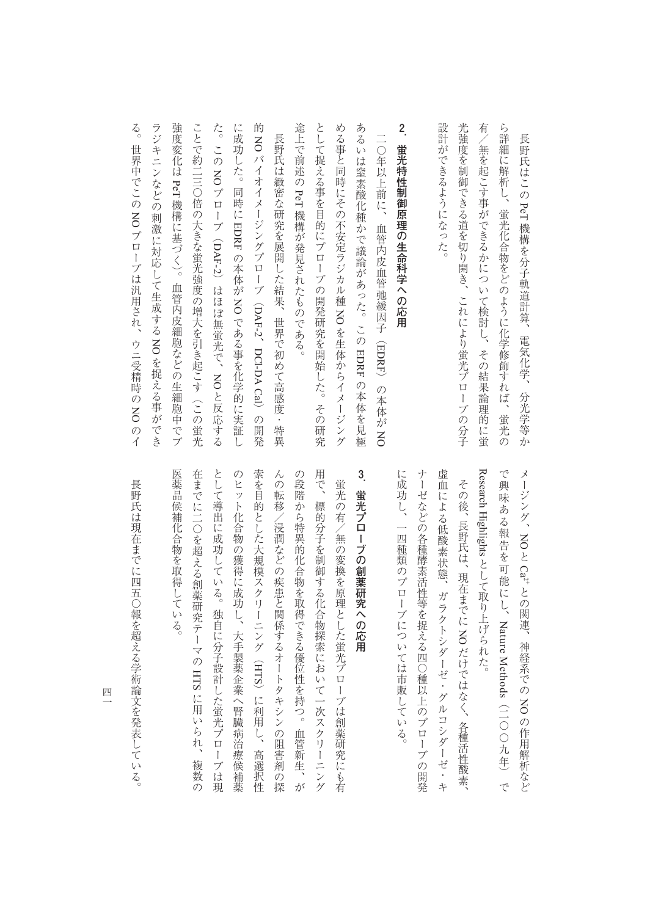ラジキニンなどの刺激に対応して生成する NO を捉える事ができ 設計ができるようになった。 光強度を制御できる道を切り開き、これにより蛍光プローブの分子  $\frac{2}{c}$ 強度変化は PeT機構に基づく)。 途上で前述の PeT 機構が発見されたものである。 として捉える事を目的にプローブの開発研究を開始した。その研究 める事と同時にその不安定ラジカル種 NO を生体からイメージング あるいは窒素酸化種かで議論があった。この EDRF の本体を見極 **2** 有/無を起こす事ができるかについて検討し、その結果論理的に蛍 ら詳細に解析し、蛍光化合物をどのように化学修飾すれば、蛍光の ことで約二三〇倍の大きな蛍光強度の増大を引き起こす (この蛍光 る。世界中でこのラジキニンなどの刺激に対応して生成するこうしょう こうしょう こうしょう ことで約二三〇倍の大きな蛍光強度の増大を引き起こす(この蛍光 た。このにんじん 的NO 途上で前述の として、その研究を開始した。その研究を開始した。その研究を開始した。その研究を開始した。その研究を開始した。その研究を開始した。その研究を開始した。 める事と同時にその不安定ラジカル種あるいは、このような、このような、このような、このような、このような、このような、このような、このような、このような、このような、このような、このような、このような、このような、このような、このような 設計ができるようになった。 光強度を制御できる道を切り開き、これにより蛍光プローブの分子 **有/無を起こす事ができるかについて検討し、その結果論理的には増加し、その結果論理的には増加し、その結果論理的には増加し、その結果論理的には増加し、その結果論理的には増加し、その結果論理的には増加し、その結果論理的には増加し、** 音楽には はいしゃ ちょうしゃ しゅうしゅ しゅうしゅう しゅうしゅう しゅうしゅう しゅうしゅう しゅうしゅう しゅうしゅう しゅうしゅう しゅうしゅう しゅうしゅう 長野氏は緻密な研究を展開した結果、世界で初めて高感度・特異 長野氏はこの PeT機構を分子軌道計算、 一〇年以上前に、 長野氏は緻密な研究を展開した結果、世界で初めて高感度・特異 蛍光特性制御原理の生命科学への応用 **.蛍光特性制御原理の生命科学への応用** 一つの「血管内皮血管弛緩」ということがある。 このことは、血管内皮血管弛緩因子には、血管内皮血管弛緩因子には、血管内皮血管弛緩因子には、血管からは血管からない血管からない。 しょう バイオイメージングプローブ(NO 機構に基づく) 。血管内皮細胞などの生細胞中でブ NO 機構が発見されたものである。 EDRF - 地球の - 地球の - 地球の - 地球の - 地球の - 地球の - 地球の - 地球の - 地球の - 地球の - 地球の - 地球の - 地球の - 地球の - 地球の - 地球の - 地球の - 地球の - 地球の - 地球の プローブは汎用され、ウニ受精時のDAF-2こうしょう こうしょう 血管内皮細胞などの生細胞中でブ )は、ほぼ無線がある。 ( )は、ほぼ無線がある。 ( )は、ほぼ無線がある。 ( )は、ほぼ無線がある。 ( )は、ほぼ無線がある。 ( )は、ほぼ無線がある。 ( )は、ほぼ無線がある。 ( )は、ほぼ無線がある。 NO DAF-2では、 このことは、 このことは、 このことは、 このことは、 このことは、 このことは、 このことは、 このことは、 このことは、 このことは、 このことは、 このことは、 このことは、 このことは、 このことは、 このことは、 このことは、 このことは、 このことは、 このことは、 このことは、 このことは、 このことは、 このことは、 このことは、 このことは、 このことは、 このことは、 このことは、 このことは、 このことは、 電気化学、分光学等か を生体からイメージング EDRFDCl-DA Calとき きょうしょう こうしょう こうしゃ アイ・プレーター しょうしゃ かんきょう かんきょう かんきょう かんきょう かんきょう かんきょう かんきょう かんきょう かんきょう かんきょう かんきょう NO )の本体がの体を見る という こうしゃ こうしゃ こうしゃ こうしゃ こうしゃ かんきょう かんきょう かんきょう かんきょう かんきょう かんきょう かんきょう かんきょう かんきょう かんきょう かんきょう かんきょう NO )の開発

> Research Highlights として取り上げられた。 で興味ある報告を可能にし、Nature Methods (二〇〇九年) で Research Highlights で興味ある報告を可能にし、NO  $Ca^{2+}$ としては、この中に取り出げられた。 との関連、神経系でのNature Methods神経系での NO の作用解析など (一つ) ニュー・コーヒー ニュー・エー・エー しゅうしょう こうしょう

に成功し、一四種類のプローブについては市販している。 ナーゼなどの各種酵素活性等を捉える四○種以上のプローブの開発 虚血による低酸素状態、ガラクトシダーゼ・グルコシダーゼ・キ には、このプローブについては市販している。このプローブについては市販している。 ナーゼなどの各種酵素活性等を捉える四〇種以上のプローブの開発 たちには、ガラクトシダーゼ・グルコシダーゼ・グルコシダーゼ・グルコシダーゼ・グルコシダーゼ・グルコシダーゼ・グルコシダーゼ・グルコシダーゼ・グルコシダーゼ・グルコシダーゼ・ゲーム その後、長野氏は、現在までに NOだけではなく、各種活性酸素 その後、 長野氏は、 長野氏は、 長野氏は、 長野氏は しょうしょう いち おおお あいしょう あいしゅう こうしゃ こうしゃ こうしゃ こうしゃ こうしゃ アルバー・エンジン しゅうしゃ しゅうしゃ かんしゅう しゅうしゅう しゅうしゅう しゅうしゅう しゅうしゃ

## **3** 蛍光プローブの創薬研究への応用 **.蛍光プローブの創薬研究への応用**

NO

医薬品候補化合物を取得している。 在までに二〇を超える創薬研究テーマの HTS に用いられ、 として導出に成功している。独自に分子設計した蛍光プローブは現 索を目的とした大規模スクリーニング (HTS) に利用し、 用で、標的分子を制御する化合物探索において一次スクリーニング のヒット化合物の獲得に成功し、大手製薬企業へ腎臓病治療候補薬 んの転移/浸潤などの疾患と関係するオートタキシンの阻害剤の探 の段階から特異的化合物を取得できる優位性を持つ。 在までに二〇を超える創薬研究テーマの としては、その他に分子設計した。 その他に分子認証している。 独自に分子設計した鉄光プローブは、その他に分子設計した鉄光プローブは、その他に分子設計した鉄光プローブは、その他に分子設計した鉄光プローブ し、大手製薬の優先には、大手製薬の優先には、大手製薬の優先によっている。 しゅうしゅう しゅうしゅう しゅうしゅう しゅうしゅう しゅうしゅう しゅうしゅう しゅうしゅう しゅうしゅう 索を目的とした大規模スクリーニング( 人の振り/装置/March 2012年/1022年/1022年/1022年/1022年/1022年/1022年/1022年/1022年/1022年/1022年/1022年/1022年/1022年/1022年/1022年 の段階から特異的化合物を取得できる優位性を持つ。血管新生、が 用で、標的分子を制御する化合物探索において一次スクリーニング 蛍光の有/無の変換を原理とした蛍光プローブは創薬研究にも有 蛍光の有/無の変換を原理とした蛍光プローブは創薬研究にも有 )に利用し、高選択性 に用いられ、複数の 血管新生、 高選択性 複数 が

長野氏は現在までに四五〇報を超える学術論文を発表している。 長野氏は現在までに四五〇報を超える学術論文を発表している。 医薬品係 エストライト こうしょう こうしゃ しゅうしゅう しゅうしゅう しゅうしゅう しゅうしゅう しゅうしゅう しゅうしゅう しゅうしゅう しゅうしゅう しゅうしゅう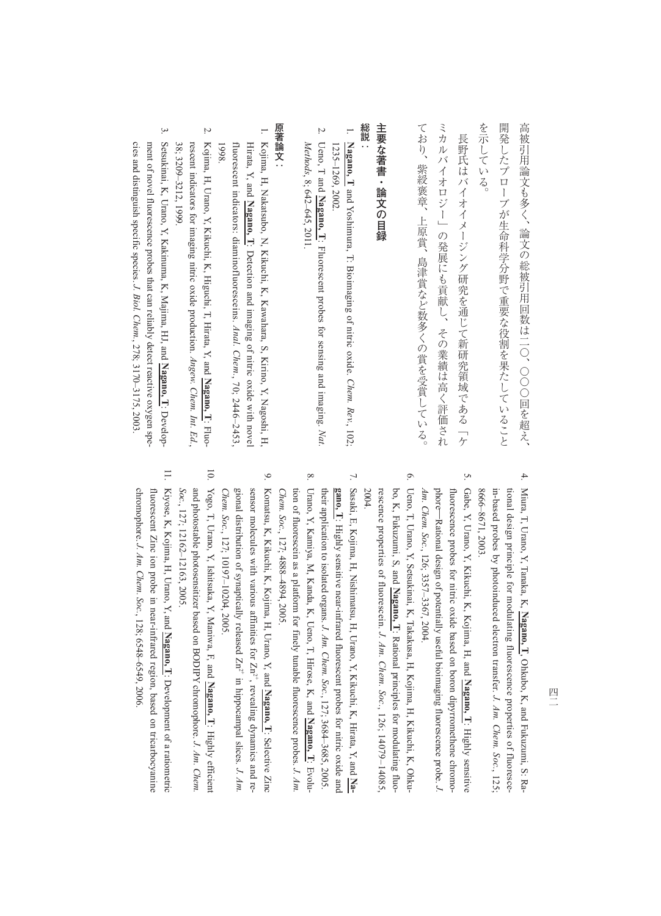| 高被引用論文も多く、論文の総被引用回数は二○、○○○回を超え、                                                                                                                                                                                                                                                        |
|----------------------------------------------------------------------------------------------------------------------------------------------------------------------------------------------------------------------------------------------------------------------------------------|
| 開発したプローブが生命科学分野で重要な役割を果たしていること                                                                                                                                                                                                                                                         |
| を示している。                                                                                                                                                                                                                                                                                |
| 長野氏はバイオイメージング研究を通じて新研究領域である「ケ                                                                                                                                                                                                                                                          |
| ミカルバイオロジー」の発展にも貢献し、その業績は高く評価され                                                                                                                                                                                                                                                         |
| ており、紫綬褒章、上原賞、島津賞など数多くの賞を受賞している。                                                                                                                                                                                                                                                        |
| 主要な著書・論文の目録                                                                                                                                                                                                                                                                            |
| 総説                                                                                                                                                                                                                                                                                     |
| T.<br>Nagano, I and Yoshimura, T. Bioimaging of nitric oxide. Chem. Rev., 102;<br>1235-1269, 2002                                                                                                                                                                                      |
| Z.<br>Methods, 8; 642–645, 2011.<br>Ueno, T and $\overline{N}$ agano, T: Fluorescent probes for sensing and imaging. Nat.                                                                                                                                                              |
| 原著論文:                                                                                                                                                                                                                                                                                  |
| 1. Kojima, H, Nakatsubo, N, Kikuchi, K, Kawahara, S, Kirino, Y, Nagoshi, H,<br>Hirata, Y, and $\frac{\mathbf{N} \cdot \mathbf{q} \cdot \mathbf{q}}{\mathbf{N} \cdot \mathbf{q} \cdot \mathbf{q} \cdot \mathbf{n} \cdot \mathbf{q}}$ . Detection and imaging of nitric oxide with novel |
| fluorescent indicators: diaminofluoresceins. $Anal.$ Chem., 70; 2446-2453,<br>8661                                                                                                                                                                                                     |
| Ņ.<br>Kojima, H, Urano, Y, Kikuchi, K, Higuchi, T, Hirata, Y, and Nagamo, T. Fluo-                                                                                                                                                                                                     |

- 。<br>[古
- . Kojima, H, Nakatsubo, N, Kikuchi, K, Kawahara, S, Kirino, Y, Nagoshi, H, : Detection and imaging of nitric oxide with novel , 70; 2446–2453, le with novel 2446-2453 Nagoshi, H.
- rescent indicators for imaging nitric oxide production. Angew. Chem. Int. Ed. 38; 3209-3212, 1999 rescent indicators for imaging nitric oxide production. 38; 3209–3212, 1999. *Angew. Chem. Int. Ed.***Nagano, Tano, T**: Fluo-

,

 $\ddot{\omega}$ 3. Setsukinai, K, Urano, Y, Kakinuma, K, Majima, HJ, and Setsukinai, K, Urano, Y, Kakinuma, K, Majima, HJ, and Nagano, T: Developcies and distinguish specific species. J. Biol. Chem., 278; 3170-3175, 2003 ment of novel fluorescence probes that can reliably detect reactive oxygen spement of novel fluorescence probes that can reliably detect reactive oxygen species and distinguish specific species. *J. Biol. Chem.*, 278; 3170–3175, 2003. **Nagano, T**

> $4.$ 4. Miura, T, Urano, Y, Tanaka, K, Miura, T, Urano, Y, Tanaka, K, Nagano, I, Ohkubo, K, and Fukuzumi, S: Ra-8666-8671, 2003 in-based probes by photoinduced electron transfer. J. Am. Chem. Soc., 125; tional design principle for modulating fluorescence properties of fluoresce-8666–8671, 2003. in-based probes by photoinduced electron transfer. tional design principle for modulating fluorescence properties of fluoresce-**Nagano, T**, Ohkubo, K, and Fukuzumi, S: Ra-*J. Am. Chem. Soc.*

 $\tilde{\mathcal{L}}$ 5. Gabe, Y, Urano, Y, Kikuchi, K, Kojima, H, and Gabe, Y, Urano, Y, Kikuchi, K, Kojima, H, and Nagano, I: Highly sensitive Am. Chem. Soc., 126; 3357-3367, 2004. fluorescence probes for nitric oxide based on boron dipyrromethene chromo-*Am. Chem. Soc.*phore―fluorescence probes for nitric oxide based on boron dipyrromethene chromo-Rational design of potentially useful bioimaging fluorescence probe. *J.*  , 126; 3357–3367, 2004. **Nagano, T**: Highly sensitive

- $\circ$ 6. Ueno, T, Urano, Y, Setsukinai, K, Takakusa, H, Kojima, H, Kikuchi, K, Ohku-Ueno, T, Urano, Y, Setsukinai, K, Takakusa, H, Kojima, H, Kikuchi, K, Ohku-2004. bo, K, Fukuzumi, S, and Nagano, T. Rational principles for modulating fluorescence properties of fluorescein. J. Am. Chem.  $Soc, 126, 14079-14085$ rescence properties of fluorescein. bo, K, Fukuzumi, S, and **Nagano, T***J. Am. Chem. Soc.*: Rational principles for modulating fluo-, 126; 14079–14085,
- 7. Sasaki, E, Kojima, H, Nishimatsu, H, Urano, Y, Kikuchi, K, Hirata, Y, and Na-7. Sasaki, E, Kojima, H, Nishimatsu, H, Urano, Y, Kikuchi, K, Hirata, Y, and their application to isolated organs. J. Am. Chem. Soc., 127; 3684-3685, 2005 **gano, T**: Highly sensitive near-infrared fluorescent probes for nitric oxide and their application to isolated organs. *J. Am. Chem. Soc.*: Highly sensitive near-infrared fluorescent probes for nitric oxide and , 127; 3684–3685, 2005.
- $\infty$ 8. Urano, Y, Kamiya, M, Kanda, K, Ueno, T, Hirose, K, and Urano, Y, Kamiya, M, Kanda, K, Ueno, T, Hirose, K, and  $N$ agano, T: Evolu*tion of fluorescein as a platform for finely tunable fluorescence probes. J. Am* Chem. Soc., 127; 4888-4894, 2005 *Chem. Soc.*tion of fluorescein as a platform for finely tunable fluorescence probes. , 127; 4888–4894, 2005. **Nagano, T**
- $\mathfrak{S}$ 9. Komatsu, K, Kikuchi, K, Kojima, H, Urano, Y, and gional distribution of synaptically released Zn<sup>2+</sup> in hippocampal slices. J. Am. sensor molecules with various affinities for Zn<sup>2+</sup>, revealing dynamics and re-Komatsu, K, Kikuchi, K, Kojima, H, Urano, Y, and  $N_{\text{aganno}}$ , T: Selective Zinc Chem. Soc., 127; 10197-10204, 2005. *Chem. Soc.*gional distribution of synaptically released Zn2+ in hippocampal slices. sensor molecules with various affinities for Zn2+, revealing dynamics and re-, 127; 10197–10204, 2005. **Nagano, T**: Selective Zinc
- $\overline{10}$ 10. Yogo, T, Urano, Y, Ishitsuka, Y, Maniwa, F, and and photostable photosensitizer based on BODIPY chromophore. J. Am. Chem Yogo, T, Urano, Y, Ishitsuka, Y, Maniwa, F, and Nagano, I: Highly efficient Soc., 127; 12162-12163, 2005 and photostable photosensitizer based on BODIPY chromophore. *J. Am. Chem.*  , 127; 12162–12163, 2005. **Nagano, T**: Highly efficient
- $\Box$ 11. Kiyose, K, Kojima, H, Urano, Y, and Kiyose, K, Kojima, H, Urano, Y, and  $\overline{N}$ agano, T: Development of a ratiometric chromophore. J. Am. Chem. Soc., 128; 6548-6549, 2006. fluorescent Zinc ion probe in near-infrared region, based on tricarbocyanine chromophore. fluorescent Zinc ion probe in near-infrared region, based on tricarbocyanine *J. Am. Chem. Soc.*, 128; 6548–6549, 2006. : Development of a ratiometric